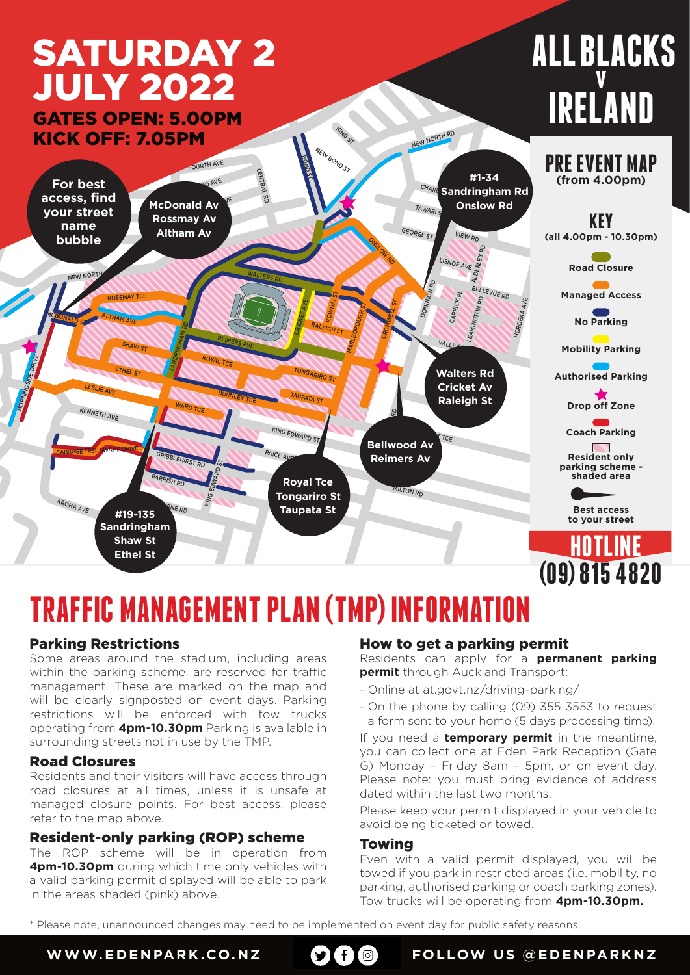# SATURDAY 2 JULY 2022

KICK OFF: 7.05PM GATES OPEN: 5.00PM

# **ALL BLACKS v IRELAND**



## **TRAFFIC MANAGEMENT PLAN (TMP) INFORMATION**

### Parking Restrictions

Some areas around the stadium, including areas within the parking scheme, are reserved for traffic management. These are marked on the map and will be clearly signposted on event days. Parking restrictions will be enforced with tow trucks operating from **4pm-10.30pm** Parking is available in surrounding streets not in use by the TMP.

### Road Closures

Residents and their visitors will have access through road closures at all times, unless it is unsafe at managed closure points. For best access, please refer to the map above.

### Resident-only parking (ROP) scheme

The ROP scheme will be in operation from **4pm-10.30pm** during which time only vehicles with a valid parking permit displayed will be able to park in the areas shaded (pink) above.

### How to get a parking permit

Residents can apply for a **permanent parking permit** through Auckland Transport:

- Online at at.govt.nz/driving-parking/
- On the phone by calling (09) 355 3553 to request a form sent to your home (5 days processing time).

If you need a **temporary permit** in the meantime, you can collect one at Eden Park Reception (Gate G) Monday – Friday 8am – 5pm, or on event day. Please note: you must bring evidence of address dated within the last two months.

Please keep your permit displayed in your vehicle to avoid being ticketed or towed.

### Towing

Even with a valid permit displayed, you will be towed if you park in restricted areas (i.e. mobility, no parking, authorised parking or coach parking zones). Tow trucks will be operating from **4pm-10.30pm.** 

\* Please note, unannounced changes may need to be implemented on event day for public safety reasons.



**WWW.EDENPARK.CO.NZ OGG** FOLLOW US @EDENPARKNZ